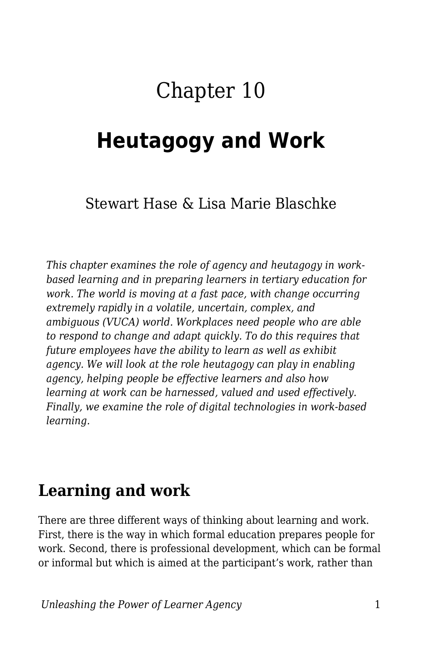# Chapter 10

# **Heutagogy and Work**

#### Stewart Hase & Lisa Marie Blaschke

*This chapter examines the role of agency and heutagogy in workbased learning and in preparing learners in tertiary education for work. The world is moving at a fast pace, with change occurring extremely rapidly in a volatile, uncertain, complex, and ambiguous (VUCA) world. Workplaces need people who are able to respond to change and adapt quickly. To do this requires that future employees have the ability to learn as well as exhibit agency. We will look at the role heutagogy can play in enabling agency, helping people be effective learners and also how learning at work can be harnessed, valued and used effectively. Finally, we examine the role of digital technologies in work-based learning.*

### **Learning and work**

There are three different ways of thinking about learning and work. First, there is the way in which formal education prepares people for work. Second, there is professional development, which can be formal or informal but which is aimed at the participant's work, rather than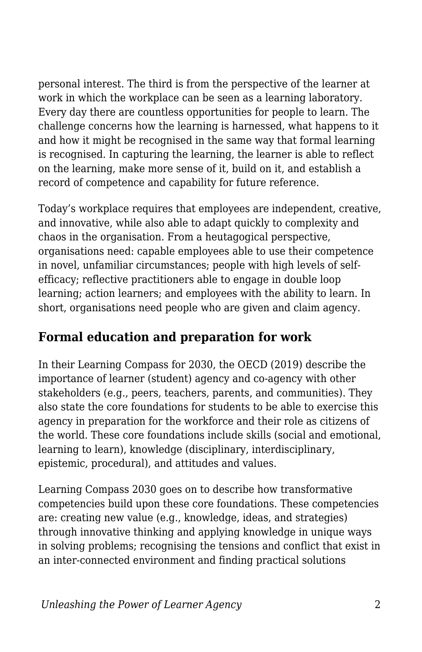personal interest. The third is from the perspective of the learner at work in which the workplace can be seen as a learning laboratory. Every day there are countless opportunities for people to learn. The challenge concerns how the learning is harnessed, what happens to it and how it might be recognised in the same way that formal learning is recognised. In capturing the learning, the learner is able to reflect on the learning, make more sense of it, build on it, and establish a record of competence and capability for future reference.

Today's workplace requires that employees are independent, creative, and innovative, while also able to adapt quickly to complexity and chaos in the organisation. From a heutagogical perspective, organisations need: capable employees able to use their competence in novel, unfamiliar circumstances; people with high levels of selfefficacy; reflective practitioners able to engage in double loop learning; action learners; and employees with the ability to learn. In short, organisations need people who are given and claim agency.

#### **Formal education and preparation for work**

In their Learning Compass for 2030, the OECD (2019) describe the importance of learner (student) agency and co-agency with other stakeholders (e.g., peers, teachers, parents, and communities). They also state the core foundations for students to be able to exercise this agency in preparation for the workforce and their role as citizens of the world. These core foundations include skills (social and emotional, learning to learn), knowledge (disciplinary, interdisciplinary, epistemic, procedural), and attitudes and values.

Learning Compass 2030 goes on to describe how transformative competencies build upon these core foundations. These competencies are: creating new value (e.g., knowledge, ideas, and strategies) through innovative thinking and applying knowledge in unique ways in solving problems; recognising the tensions and conflict that exist in an inter-connected environment and finding practical solutions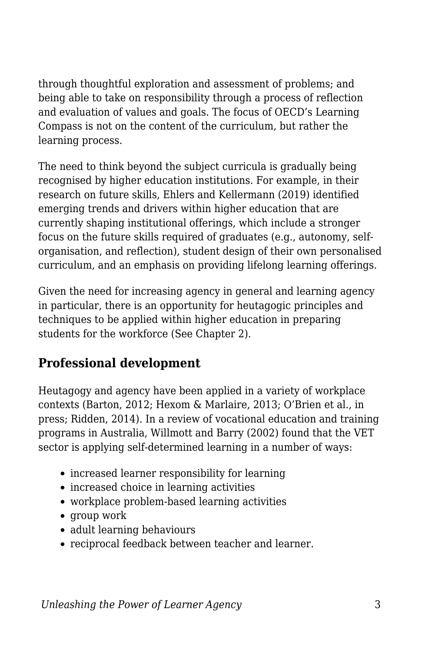through thoughtful exploration and assessment of problems; and being able to take on responsibility through a process of reflection and evaluation of values and goals. The focus of OECD's Learning Compass is not on the content of the curriculum, but rather the learning process.

The need to think beyond the subject curricula is gradually being recognised by higher education institutions. For example, in their research on future skills, Ehlers and Kellermann (2019) identified emerging trends and drivers within higher education that are currently shaping institutional offerings, which include a stronger focus on the future skills required of graduates (e.g., autonomy, selforganisation, and reflection), student design of their own personalised curriculum, and an emphasis on providing lifelong learning offerings.

Given the need for increasing agency in general and learning agency in particular, there is an opportunity for heutagogic principles and techniques to be applied within higher education in preparing students for the workforce (See Chapter 2).

#### **Professional development**

Heutagogy and agency have been applied in a variety of workplace contexts (Barton, 2012; Hexom & Marlaire, 2013; O'Brien et al., in press; Ridden, 2014). In a review of vocational education and training programs in Australia, Willmott and Barry (2002) found that the VET sector is applying self-determined learning in a number of ways:

- increased learner responsibility for learning
- increased choice in learning activities
- workplace problem-based learning activities
- group work
- adult learning behaviours
- reciprocal feedback between teacher and learner.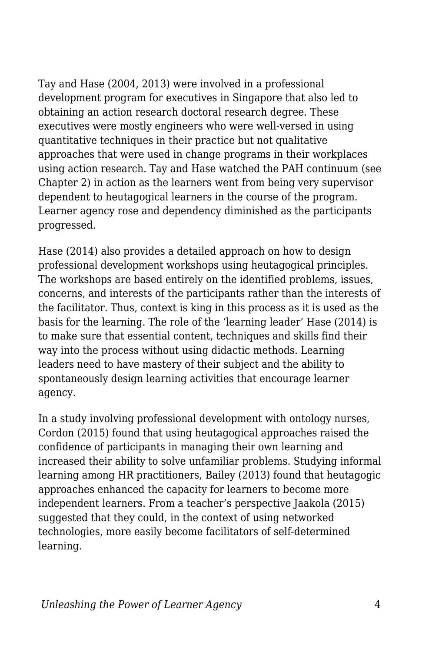Tay and Hase (2004, 2013) were involved in a professional development program for executives in Singapore that also led to obtaining an action research doctoral research degree. These executives were mostly engineers who were well-versed in using quantitative techniques in their practice but not qualitative approaches that were used in change programs in their workplaces using action research. Tay and Hase watched the PAH continuum (see Chapter 2) in action as the learners went from being very supervisor dependent to heutagogical learners in the course of the program. Learner agency rose and dependency diminished as the participants progressed.

Hase (2014) also provides a detailed approach on how to design professional development workshops using heutagogical principles. The workshops are based entirely on the identified problems, issues, concerns, and interests of the participants rather than the interests of the facilitator. Thus, context is king in this process as it is used as the basis for the learning. The role of the 'learning leader' Hase (2014) is to make sure that essential content, techniques and skills find their way into the process without using didactic methods. Learning leaders need to have mastery of their subject and the ability to spontaneously design learning activities that encourage learner agency.

In a study involving professional development with ontology nurses, Cordon (2015) found that using heutagogical approaches raised the confidence of participants in managing their own learning and increased their ability to solve unfamiliar problems. Studying informal learning among HR practitioners, Bailey (2013) found that heutagogic approaches enhanced the capacity for learners to become more independent learners. From a teacher's perspective Jaakola (2015) suggested that they could, in the context of using networked technologies, more easily become facilitators of self-determined learning.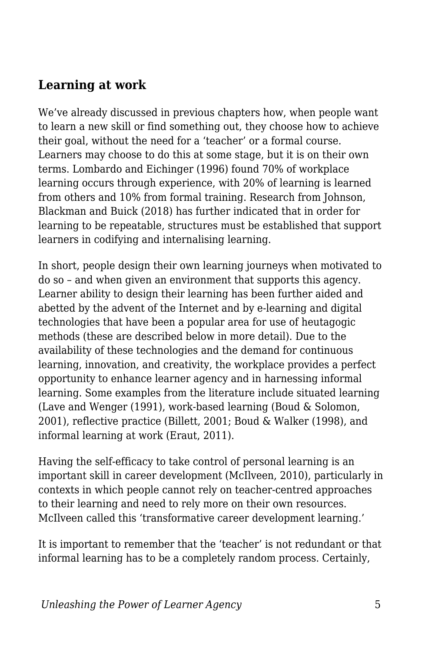#### **Learning at work**

We've already discussed in previous chapters how, when people want to learn a new skill or find something out, they choose how to achieve their goal, without the need for a 'teacher' or a formal course. Learners may choose to do this at some stage, but it is on their own terms. Lombardo and Eichinger (1996) found 70% of workplace learning occurs through experience, with 20% of learning is learned from others and 10% from formal training. Research from Johnson, Blackman and Buick (2018) has further indicated that in order for learning to be repeatable, structures must be established that support learners in codifying and internalising learning.

In short, people design their own learning journeys when motivated to do so – and when given an environment that supports this agency. Learner ability to design their learning has been further aided and abetted by the advent of the Internet and by e-learning and digital technologies that have been a popular area for use of heutagogic methods (these are described below in more detail). Due to the availability of these technologies and the demand for continuous learning, innovation, and creativity, the workplace provides a perfect opportunity to enhance learner agency and in harnessing informal learning. Some examples from the literature include situated learning (Lave and Wenger (1991), work-based learning (Boud & Solomon, 2001), reflective practice (Billett, 2001; Boud & Walker (1998), and informal learning at work (Eraut, 2011).

Having the self-efficacy to take control of personal learning is an important skill in career development (McIlveen, 2010), particularly in contexts in which people cannot rely on teacher-centred approaches to their learning and need to rely more on their own resources. McIlveen called this 'transformative career development learning.'

It is important to remember that the 'teacher' is not redundant or that informal learning has to be a completely random process. Certainly,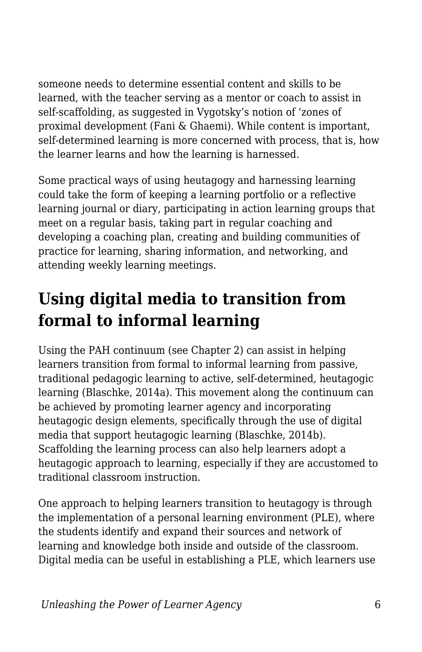someone needs to determine essential content and skills to be learned, with the teacher serving as a mentor or coach to assist in self-scaffolding, as suggested in Vygotsky's notion of 'zones of proximal development (Fani & Ghaemi). While content is important, self-determined learning is more concerned with process, that is, how the learner learns and how the learning is harnessed.

Some practical ways of using heutagogy and harnessing learning could take the form of keeping a learning portfolio or a reflective learning journal or diary, participating in action learning groups that meet on a regular basis, taking part in regular coaching and developing a coaching plan, creating and building communities of practice for learning, sharing information, and networking, and attending weekly learning meetings.

## **Using digital media to transition from formal to informal learning**

Using the PAH continuum (see Chapter 2) can assist in helping learners transition from formal to informal learning from passive, traditional pedagogic learning to active, self-determined, heutagogic learning (Blaschke, 2014a). This movement along the continuum can be achieved by promoting learner agency and incorporating heutagogic design elements, specifically through the use of digital media that support heutagogic learning (Blaschke, 2014b). Scaffolding the learning process can also help learners adopt a heutagogic approach to learning, especially if they are accustomed to traditional classroom instruction.

One approach to helping learners transition to heutagogy is through the implementation of a personal learning environment (PLE), where the students identify and expand their sources and network of learning and knowledge both inside and outside of the classroom. Digital media can be useful in establishing a PLE, which learners use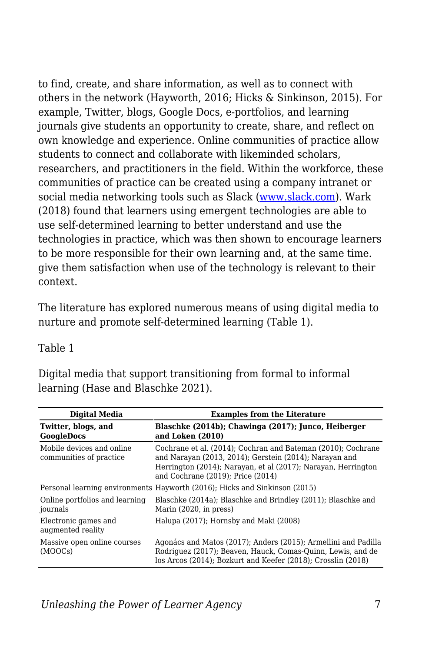to find, create, and share information, as well as to connect with others in the network (Hayworth, 2016; Hicks & Sinkinson, 2015). For example, Twitter, blogs, Google Docs, e-portfolios, and learning journals give students an opportunity to create, share, and reflect on own knowledge and experience. Online communities of practice allow students to connect and collaborate with likeminded scholars, researchers, and practitioners in the field. Within the workforce, these communities of practice can be created using a company intranet or social media networking tools such as Slack ([www.slack.com\)](http://www.slack.com). Wark (2018) found that learners using emergent technologies are able to use self-determined learning to better understand and use the technologies in practice, which was then shown to encourage learners to be more responsible for their own learning and, at the same time. give them satisfaction when use of the technology is relevant to their context.

The literature has explored numerous means of using digital media to nurture and promote self-determined learning (Table 1).

#### Table 1

Digital media that support transitioning from formal to informal learning (Hase and Blaschke 2021).

| <b>Digital Media</b>                                 | <b>Examples from the Literature</b>                                                                                                                                                                                          |
|------------------------------------------------------|------------------------------------------------------------------------------------------------------------------------------------------------------------------------------------------------------------------------------|
| Twitter, blogs, and<br><b>GoogleDocs</b>             | Blaschke (2014b); Chawinga (2017); Junco, Heiberger<br>and Loken (2010)                                                                                                                                                      |
| Mobile devices and online<br>communities of practice | Cochrane et al. (2014); Cochran and Bateman (2010); Cochrane<br>and Narayan (2013, 2014); Gerstein (2014); Narayan and<br>Herrington (2014); Narayan, et al (2017); Narayan, Herrington<br>and Cochrane (2019); Price (2014) |
|                                                      | Personal learning environments Hayworth (2016); Hicks and Sinkinson (2015)                                                                                                                                                   |
| Online portfolios and learning<br>journals           | Blaschke (2014a); Blaschke and Brindley (2011); Blaschke and<br>Marin (2020, in press)                                                                                                                                       |
| Electronic games and<br>augmented reality            | Halupa (2017); Hornsby and Maki (2008)                                                                                                                                                                                       |
| Massive open online courses<br>(MOOCs)               | Agonács and Matos (2017); Anders (2015); Armellini and Padilla<br>Rodriguez (2017); Beaven, Hauck, Comas-Quinn, Lewis, and de<br>los Arcos (2014); Bozkurt and Keefer (2018); Crosslin (2018)                                |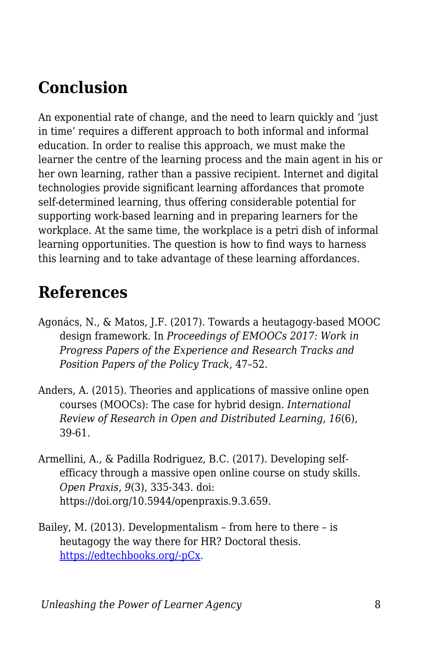## **Conclusion**

An exponential rate of change, and the need to learn quickly and 'just in time' requires a different approach to both informal and informal education. In order to realise this approach, we must make the learner the centre of the learning process and the main agent in his or her own learning, rather than a passive recipient. Internet and digital technologies provide significant learning affordances that promote self-determined learning, thus offering considerable potential for supporting work-based learning and in preparing learners for the workplace. At the same time, the workplace is a petri dish of informal learning opportunities. The question is how to find ways to harness this learning and to take advantage of these learning affordances.

### **References**

- Agonács, N., & Matos, J.F. (2017). Towards a heutagogy-based MOOC design framework. In *Proceedings of EMOOCs 2017: Work in Progress Papers of the Experience and Research Tracks and Position Papers of the Policy Track*, 47–52.
- Anders, A. (2015). Theories and applications of massive online open courses (MOOCs): The case for hybrid design. *International Review of Research in Open and Distributed Learning*, *16*(6), 39-61.
- Armellini, A., & Padilla Rodriguez, B.C. (2017). Developing selfefficacy through a massive open online course on study skills. *Open Praxis, 9*(3), 335-343. doi: https://doi.org/10.5944/openpraxis.9.3.659.
- Bailey, M. (2013). Developmentalism from here to there is heutagogy the way there for HR? Doctoral thesis. [https://edtechbooks.org/-pCx](http://hdl.handle.net/1893/17260).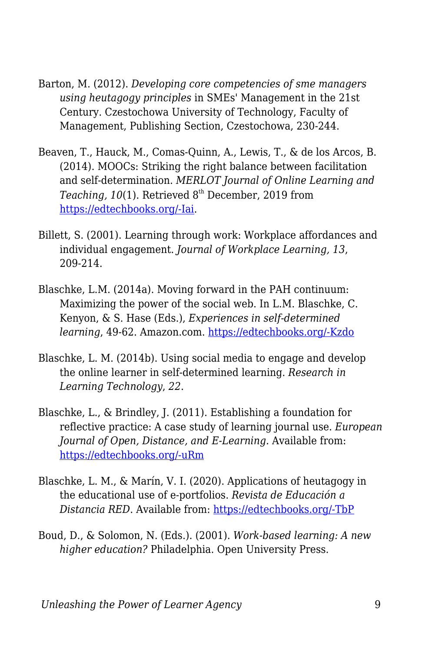- Barton, M. (2012). *Developing core competencies of sme managers using heutagogy principles* in SMEs' Management in the 21st Century. Czestochowa University of Technology, Faculty of Management, Publishing Section, Czestochowa, 230-244.
- Beaven, T., Hauck, M., Comas-Quinn, A., Lewis, T., & de los Arcos, B. (2014). MOOCs: Striking the right balance between facilitation and self-determination. *MERLOT Journal of Online Learning and* Teaching, 10(1). Retrieved 8<sup>th</sup> December, 2019 from [https://edtechbooks.org/-Iai](http://jolt.merlot.org/vol10no1/beaven_0314.pdf).
- Billett, S. (2001). Learning through work: Workplace affordances and individual engagement. *Journal of Workplace Learning, 13*, 209-214.
- Blaschke, L.M. (2014a). Moving forward in the PAH continuum: Maximizing the power of the social web. In L.M. Blaschke, C. Kenyon, & S. Hase (Eds.), *Experiences in self-determined learning*, 49-62. Amazon.com. [https://edtechbooks.org/-Kzdo](https://uol.de/coer/announcements/free-oer-now-available-experiences-in-self-determined-learning/)
- Blaschke, L. M. (2014b). Using social media to engage and develop the online learner in self-determined learning. *Research in Learning Technology*, *22*.
- Blaschke, L., & Brindley, J. (2011). Establishing a foundation for reflective practice: A case study of learning journal use. *European Journal of Open, Distance, and E-Learning.* Available from: [https://edtechbooks.org/-uRm](https://old.eurodl.org/materials/special/2011/Blaschke_Brindley.pdf)
- Blaschke, L. M., & Marín, V. I. (2020). Applications of heutagogy in the educational use of e-portfolios. *Revista de Educación a Distancia RED*. Available from: [https://edtechbooks.org/-TbP](https://revistas.um.es/red/article/view/407831/290621)
- Boud, D., & Solomon, N. (Eds.). (2001). *Work-based learning: A new higher education?* Philadelphia. Open University Press.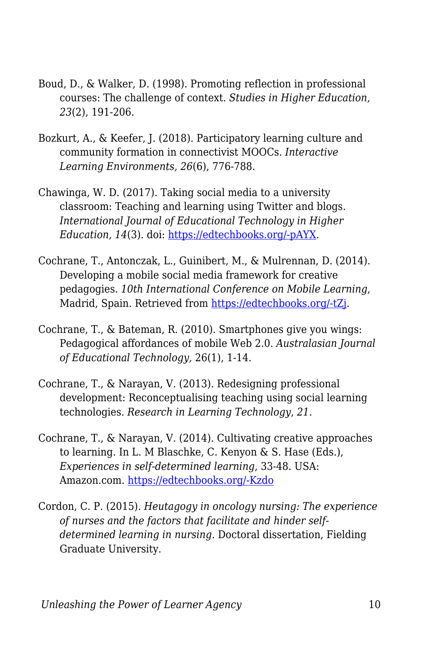- Boud, D., & Walker, D. (1998). Promoting reflection in professional courses: The challenge of context. *Studies in Higher Education, 23*(2), 191-206.
- Bozkurt, A., & Keefer, J. (2018). Participatory learning culture and community formation in connectivist MOOCs. *Interactive Learning Environments, 26*(6), 776-788.
- Chawinga, W. D. (2017). Taking social media to a university classroom: Teaching and learning using Twitter and blogs. *International Journal of Educational Technology in Higher Education, 14*(3). doi: [https://edtechbooks.org/-pAYX.](https://doi.org/10.1186/s41239-017-0041-6)
- Cochrane, T., Antonczak, L., Guinibert, M., & Mulrennan, D. (2014). Developing a mobile social media framework for creative pedagogies. *10th International Conference on Mobile Learning*, Madrid, Spain. Retrieved from [https://edtechbooks.org/-tZj](https://files.eric.ed.gov/fulltext/ED557241.pdf).
- Cochrane, T., & Bateman, R. (2010). Smartphones give you wings: Pedagogical affordances of mobile Web 2.0. *Australasian Journal of Educational Technology,* 26(1), 1-14.
- Cochrane, T., & Narayan, V. (2013). Redesigning professional development: Reconceptualising teaching using social learning technologies. *Research in Learning Technology*, *21*.
- Cochrane, T., & Narayan, V. (2014). Cultivating creative approaches to learning. In L. M Blaschke, C. Kenyon & S. Hase (Eds.), *Experiences in self-determined learning*, 33-48. USA: Amazon.com. [https://edtechbooks.org/-Kzdo](https://uol.de/coer/announcements/free-oer-now-available-experiences-in-self-determined-learning/)
- Cordon, C. P. (2015). *Heutagogy in oncology nursing: The experience of nurses and the factors that facilitate and hinder selfdetermined learning in nursing*. Doctoral dissertation, Fielding Graduate University.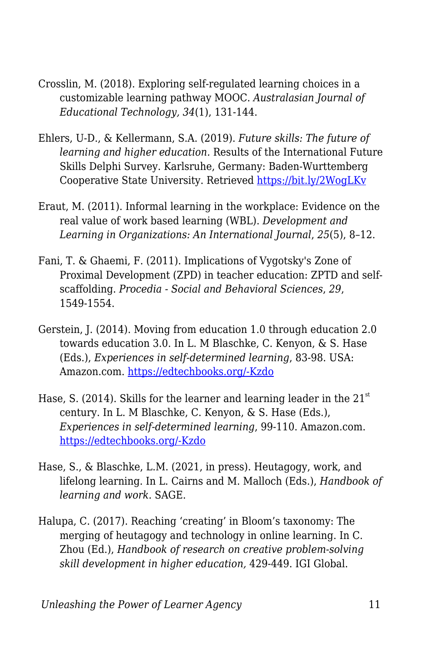- Crosslin, M. (2018). Exploring self-regulated learning choices in a customizable learning pathway MOOC. *Australasian Journal of Educational Technology, 34*(1), 131-144.
- Ehlers, U-D., & Kellermann, S.A. (2019). *Future skills: The future of learning and higher education.* Results of the International Future Skills Delphi Survey. Karlsruhe, Germany: Baden-Wurttemberg Cooperative State University. Retrieved<https://bit.ly/2WogLKv>
- Eraut, M. (2011). Informal learning in the workplace: Evidence on the real value of work based learning (WBL). *Development and Learning in Organizations: An International Journal*, *25*(5), 8–12.
- Fani, T. & Ghaemi, F. (2011). Implications of Vygotsky's Zone of Proximal Development (ZPD) in teacher education: ZPTD and selfscaffolding. *Procedia - Social and Behavioral Sciences*, *29*, 1549-1554.
- Gerstein, J. (2014). Moving from education 1.0 through education 2.0 towards education 3.0. In L. M Blaschke, C. Kenyon, & S. Hase (Eds.), *Experiences in self-determined learning*, 83-98. USA: Amazon.com. [https://edtechbooks.org/-Kzdo](https://uol.de/coer/announcements/free-oer-now-available-experiences-in-self-determined-learning/)
- Hase, S. (2014). Skills for the learner and learning leader in the  $21<sup>st</sup>$ century. In L. M Blaschke, C. Kenyon, & S. Hase (Eds.), *Experiences in self-determined learning*, 99-110. Amazon.com. [https://edtechbooks.org/-Kzdo](https://uol.de/coer/announcements/free-oer-now-available-experiences-in-self-determined-learning/)
- Hase, S., & Blaschke, L.M. (2021, in press). Heutagogy, work, and lifelong learning. In L. Cairns and M. Malloch (Eds.), *Handbook of learning and work*. SAGE.
- Halupa, C. (2017). Reaching 'creating' in Bloom's taxonomy: The merging of heutagogy and technology in online learning. In C. Zhou (Ed.), *Handbook of research on creative problem-solving skill development in higher education,* 429-449. IGI Global.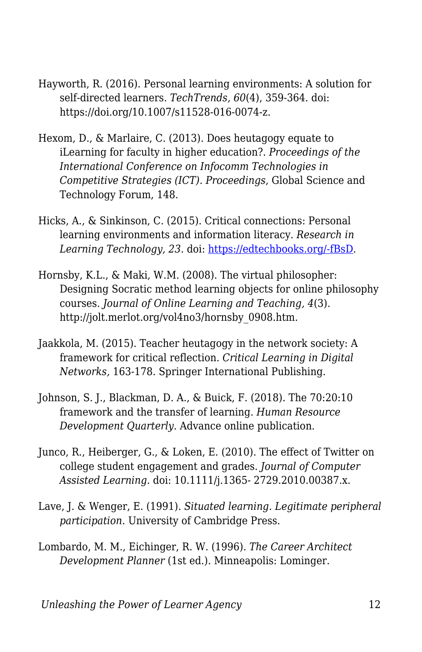- Hayworth, R. (2016). Personal learning environments: A solution for self-directed learners. *TechTrends, 60*(4), 359-364. doi: https://doi.org/10.1007/s11528-016-0074-z.
- Hexom, D., & Marlaire, C. (2013). Does heutagogy equate to iLearning for faculty in higher education?. *Proceedings of the International Conference on Infocomm Technologies in Competitive Strategies (ICT). Proceedings*, Global Science and Technology Forum, 148.
- Hicks, A., & Sinkinson, C. (2015). Critical connections: Personal learning environments and information literacy. *Research in Learning Technology, 23*. doi: [https://edtechbooks.org/-fBsD.](http://dx.doi.org/10.3402/rlt.v23.21193)
- Hornsby, K.L., & Maki, W.M. (2008). The virtual philosopher: Designing Socratic method learning objects for online philosophy courses. *Journal of Online Learning and Teaching, 4*(3). http://jolt.merlot.org/vol4no3/hornsby\_0908.htm.
- Jaakkola, M. (2015). Teacher heutagogy in the network society: A framework for critical reflection. *Critical Learning in Digital Networks,* 163-178. Springer International Publishing.
- Johnson, S. J., Blackman, D. A., & Buick, F. (2018). The 70:20:10 framework and the transfer of learning. *Human Resource Development Quarterly*. Advance online publication.
- Junco, R., Heiberger, G., & Loken, E. (2010). The effect of Twitter on college student engagement and grades. *Journal of Computer Assisted Learning*. doi: 10.1111/j.1365- 2729.2010.00387.x.
- Lave, J. & Wenger, E. (1991). *Situated learning. Legitimate peripheral participation*. University of Cambridge Press.
- Lombardo, M. M., Eichinger, R. W. (1996). *The Career Architect Development Planner* (1st ed.). Minneapolis: Lominger.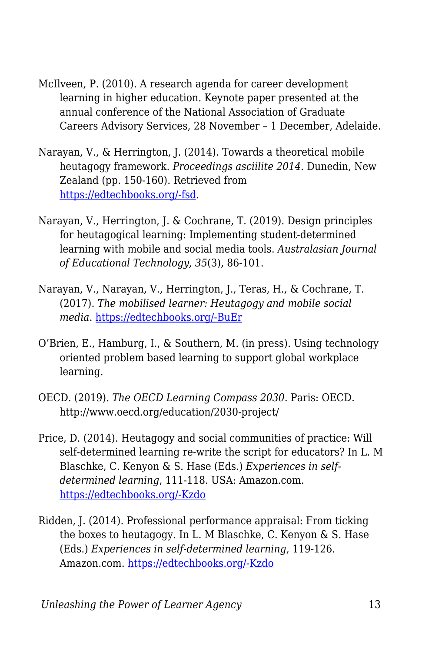- McIlveen, P. (2010). A research agenda for career development learning in higher education. Keynote paper presented at the annual conference of the National Association of Graduate Careers Advisory Services, 28 November – 1 December, Adelaide.
- Narayan, V., & Herrington, J. (2014). Towards a theoretical mobile heutagogy framework. *Proceedings asciilite 2014*. Dunedin, New Zealand (pp. 150-160). Retrieved from [https://edtechbooks.org/-fsd](http://ascilite.org/conferences/dunedin2014/files/fullpapers/138-Narayan.pdf).
- Narayan, V., Herrington, J. & Cochrane, T. (2019). Design principles for heutagogical learning: Implementing student-determined learning with mobile and social media tools. *Australasian Journal of Educational Technology, 35*(3), 86-101.
- Narayan, V., Narayan, V., Herrington, J., Teras, H., & Cochrane, T. (2017). *The mobilised learner: Heutagogy and mobile social media*. [https://edtechbooks.org/-BuEr](http://researchrepository.murdoch.edu.au/id/eprint/36991/)
- O'Brien, E., Hamburg, I., & Southern, M. (in press). Using technology oriented problem based learning to support global workplace learning.
- OECD. (2019). *The OECD Learning Compass 2030*. Paris: OECD. http://www.oecd.org/education/2030-project/
- Price, D. (2014). Heutagogy and social communities of practice: Will self-determined learning re-write the script for educators? In L. M Blaschke, C. Kenyon & S. Hase (Eds.) *Experiences in selfdetermined learning*, 111-118. USA: Amazon.com. [https://edtechbooks.org/-Kzdo](https://uol.de/coer/announcements/free-oer-now-available-experiences-in-self-determined-learning/)
- Ridden, J. (2014). Professional performance appraisal: From ticking the boxes to heutagogy. In L. M Blaschke, C. Kenyon & S. Hase (Eds.) *Experiences in self-determined learning*, 119-126. Amazon.com. [https://edtechbooks.org/-Kzdo](https://uol.de/coer/announcements/free-oer-now-available-experiences-in-self-determined-learning/)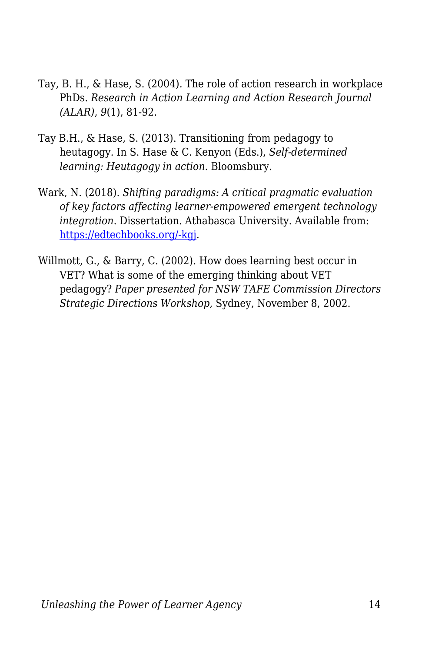- Tay, B. H., & Hase, S. (2004). The role of action research in workplace PhDs. *Research in Action Learning and Action Research Journal (ALAR)*, *9*(1), 81-92.
- Tay B.H., & Hase, S. (2013). Transitioning from pedagogy to heutagogy. In S. Hase & C. Kenyon (Eds.), *Self-determined learning: Heutagogy in action*. Bloomsbury.
- Wark, N. (2018). *Shifting paradigms: A critical pragmatic evaluation of key factors affecting learner-empowered emergent technology integration*. Dissertation. Athabasca University. Available from: [https://edtechbooks.org/-kgj](https://dt.athabascau.ca/jspui/bitstream/10791/274/4/NorineWarkFinal.pdf).
- Willmott, G., & Barry, C. (2002). How does learning best occur in VET? What is some of the emerging thinking about VET pedagogy? *Paper presented for NSW TAFE Commission Directors Strategic Directions Workshop*, Sydney, November 8, 2002.